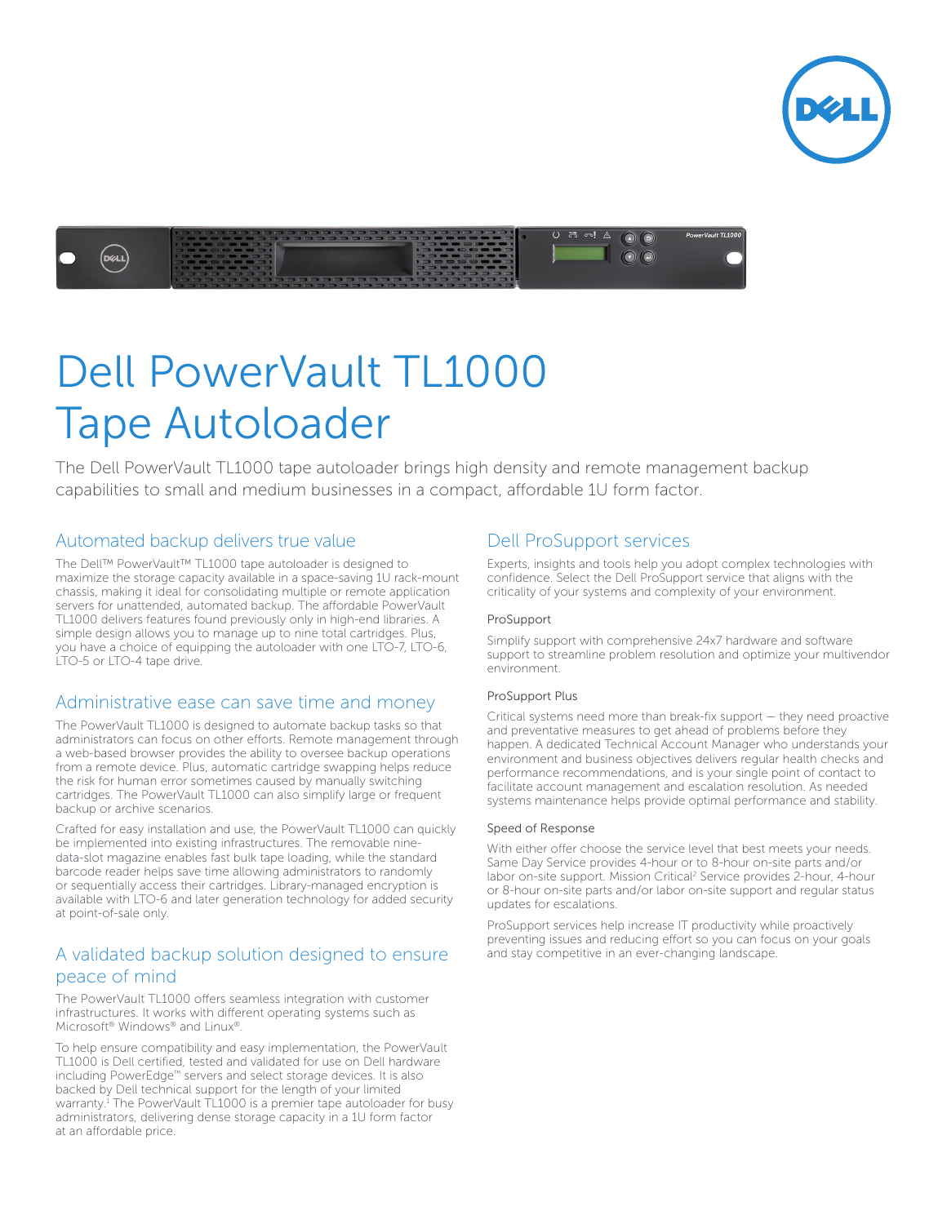



# Dell PowerVault TL1000 Tape Autoloader

The Dell PowerVault TL1000 tape autoloader brings high density and remote management backup capabilities to small and medium businesses in a compact, affordable 1U form factor.

#### Automated backup delivers true value

The Dell™ PowerVault™ TL1000 tape autoloader is designed to maximize the storage capacity available in a space-saving 1U rack-mount chassis, making it ideal for consolidating multiple or remote application servers for unattended, automated backup. The affordable PowerVault TL1000 delivers features found previously only in high-end libraries. A simple design allows you to manage up to nine total cartridges. Plus, you have a choice of equipping the autoloader with one LTO-7, LTO-6, LTO-5 or LTO-4 tape drive.

#### Administrative ease can save time and money

The PowerVault TL1000 is designed to automate backup tasks so that administrators can focus on other efforts. Remote management through a web-based browser provides the ability to oversee backup operations from a remote device. Plus, automatic cartridge swapping helps reduce the risk for human error sometimes caused by manually switching cartridges. The PowerVault TL1000 can also simplify large or frequent backup or archive scenarios.

Crafted for easy installation and use, the PowerVault TL1000 can quickly be implemented into existing infrastructures. The removable ninedata-slot magazine enables fast bulk tape loading, while the standard barcode reader helps save time allowing administrators to randomly or sequentially access their cartridges. Library-managed encryption is available with LTO-6 and later generation technology for added security at point-of-sale only.

## A validated backup solution designed to ensure peace of mind

The PowerVault TL1000 offers seamless integration with customer infrastructures. It works with different operating systems such as Microsoft® Windows® and Linux®.

To help ensure compatibility and easy implementation, the PowerVault TL1000 is Dell certified, tested and validated for use on Dell hardware including PowerEdge™ servers and select storage devices. It is also backed by Dell technical support for the length of your limited warranty.<sup>1</sup> The PowerVault TL1000 is a premier tape autoloader for busy administrators, delivering dense storage capacity in a 1U form factor at an affordable price.

### Dell ProSupport services

Experts, insights and tools help you adopt complex technologies with confidence. Select the Dell ProSupport service that aligns with the criticality of your systems and complexity of your environment.

#### ProSupport

Simplify support with comprehensive 24x7 hardware and software support to streamline problem resolution and optimize your multivendor environment.

#### ProSupport Plus

Critical systems need more than break-fix support — they need proactive and preventative measures to get ahead of problems before they happen. A dedicated Technical Account Manager who understands your environment and business objectives delivers regular health checks and performance recommendations, and is your single point of contact to facilitate account management and escalation resolution. As needed systems maintenance helps provide optimal performance and stability.

#### Speed of Response

With either offer choose the service level that best meets your needs. Same Day Service provides 4-hour or to 8-hour on-site parts and/or labor on-site support. Mission Critical<sup>2</sup> Service provides 2-hour, 4-hour or 8-hour on-site parts and/or labor on-site support and regular status updates for escalations.

ProSupport services help increase IT productivity while proactively preventing issues and reducing effort so you can focus on your goals and stay competitive in an ever-changing landscape.